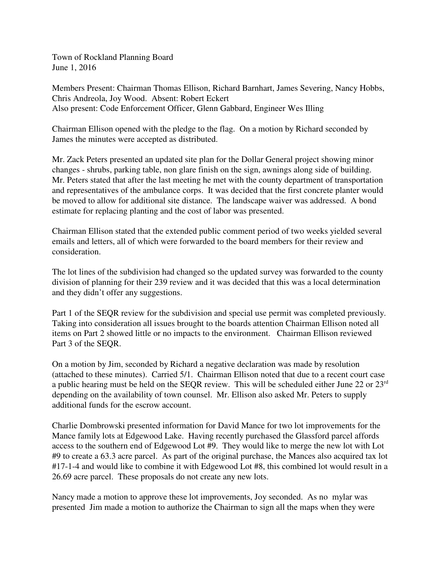Town of Rockland Planning Board June 1, 2016

Members Present: Chairman Thomas Ellison, Richard Barnhart, James Severing, Nancy Hobbs, Chris Andreola, Joy Wood. Absent: Robert Eckert Also present: Code Enforcement Officer, Glenn Gabbard, Engineer Wes Illing

Chairman Ellison opened with the pledge to the flag. On a motion by Richard seconded by James the minutes were accepted as distributed.

Mr. Zack Peters presented an updated site plan for the Dollar General project showing minor changes - shrubs, parking table, non glare finish on the sign, awnings along side of building. Mr. Peters stated that after the last meeting he met with the county department of transportation and representatives of the ambulance corps. It was decided that the first concrete planter would be moved to allow for additional site distance. The landscape waiver was addressed. A bond estimate for replacing planting and the cost of labor was presented.

Chairman Ellison stated that the extended public comment period of two weeks yielded several emails and letters, all of which were forwarded to the board members for their review and consideration.

The lot lines of the subdivision had changed so the updated survey was forwarded to the county division of planning for their 239 review and it was decided that this was a local determination and they didn't offer any suggestions.

Part 1 of the SEQR review for the subdivision and special use permit was completed previously. Taking into consideration all issues brought to the boards attention Chairman Ellison noted all items on Part 2 showed little or no impacts to the environment. Chairman Ellison reviewed Part 3 of the SEQR.

On a motion by Jim, seconded by Richard a negative declaration was made by resolution (attached to these minutes). Carried 5/1. Chairman Ellison noted that due to a recent court case a public hearing must be held on the SEQR review. This will be scheduled either June 22 or 23rd depending on the availability of town counsel. Mr. Ellison also asked Mr. Peters to supply additional funds for the escrow account.

Charlie Dombrowski presented information for David Mance for two lot improvements for the Mance family lots at Edgewood Lake. Having recently purchased the Glassford parcel affords access to the southern end of Edgewood Lot #9. They would like to merge the new lot with Lot #9 to create a 63.3 acre parcel. As part of the original purchase, the Mances also acquired tax lot #17-1-4 and would like to combine it with Edgewood Lot #8, this combined lot would result in a 26.69 acre parcel. These proposals do not create any new lots.

Nancy made a motion to approve these lot improvements, Joy seconded. As no mylar was presented Jim made a motion to authorize the Chairman to sign all the maps when they were